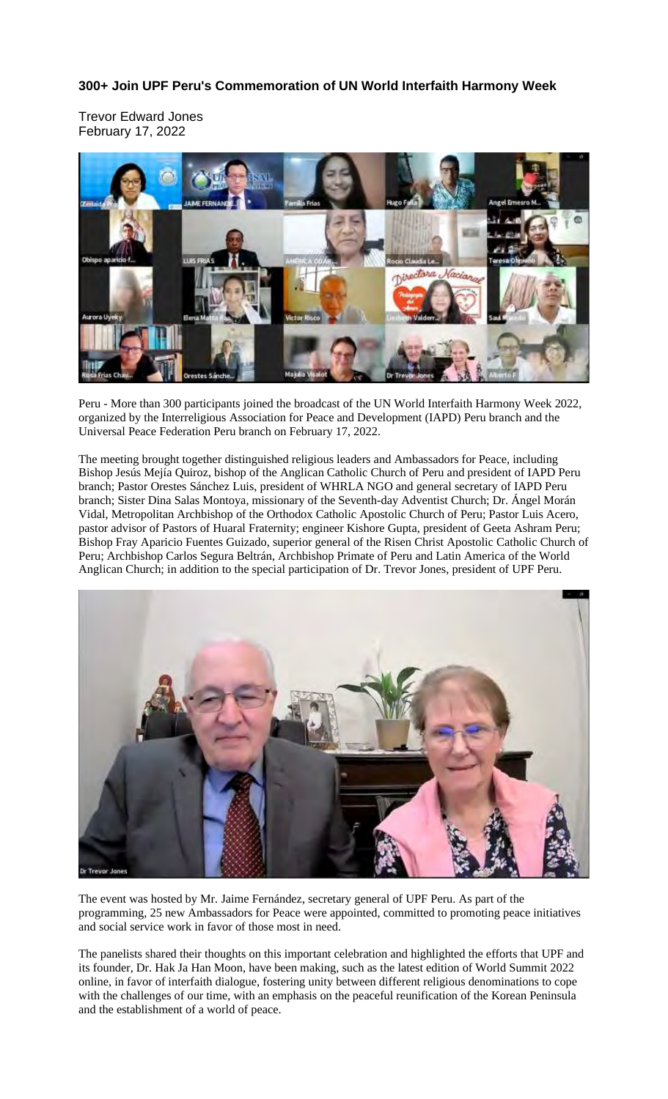## **300+ Join UPF Peru's Commemoration of UN World Interfaith Harmony Week**

Trevor Edward Jones February 17, 2022



Peru - More than 300 participants joined the broadcast of the UN World Interfaith Harmony Week 2022, organized by the Interreligious Association for Peace and Development (IAPD) Peru branch and the Universal Peace Federation Peru branch on February 17, 2022.

The meeting brought together distinguished religious leaders and Ambassadors for Peace, including Bishop Jesús Mejía Quiroz, bishop of the Anglican Catholic Church of Peru and president of IAPD Peru branch; Pastor Orestes Sánchez Luis, president of WHRLA NGO and general secretary of IAPD Peru branch; Sister Dina Salas Montoya, missionary of the Seventh-day Adventist Church; Dr. Ángel Morán Vidal, Metropolitan Archbishop of the Orthodox Catholic Apostolic Church of Peru; Pastor Luis Acero, pastor advisor of Pastors of Huaral Fraternity; engineer Kishore Gupta, president of Geeta Ashram Peru; Bishop Fray Aparicio Fuentes Guizado, superior general of the Risen Christ Apostolic Catholic Church of Peru; Archbishop Carlos Segura Beltrán, Archbishop Primate of Peru and Latin America of the World Anglican Church; in addition to the special participation of Dr. Trevor Jones, president of UPF Peru.



The event was hosted by Mr. Jaime Fernández, secretary general of UPF Peru. As part of the programming, 25 new Ambassadors for Peace were appointed, committed to promoting peace initiatives and social service work in favor of those most in need.

The panelists shared their thoughts on this important celebration and highlighted the efforts that UPF and its founder, Dr. Hak Ja Han Moon, have been making, such as the latest edition of World Summit 2022 online, in favor of interfaith dialogue, fostering unity between different religious denominations to cope with the challenges of our time, with an emphasis on the peaceful reunification of the Korean Peninsula and the establishment of a world of peace.